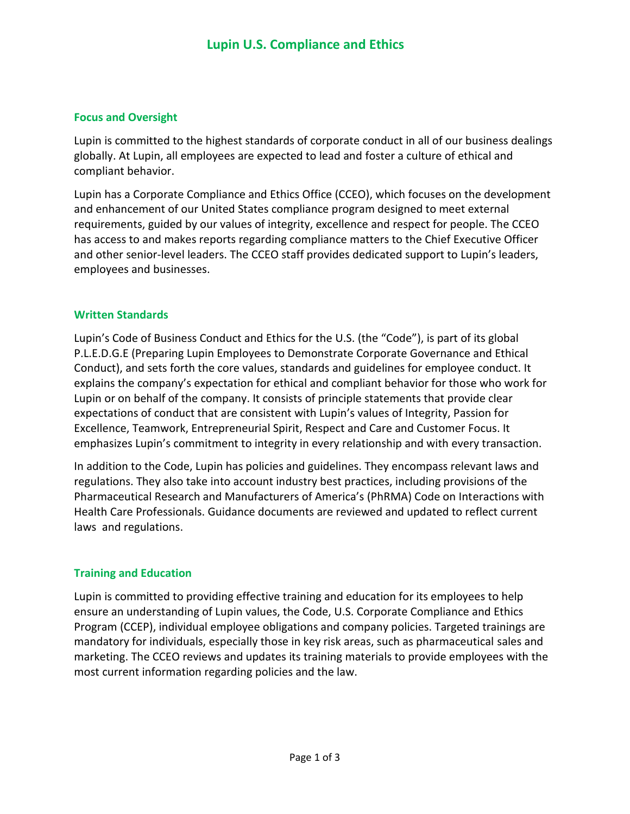## **Focus and Oversight**

Lupin is committed to the highest standards of corporate conduct in all of our business dealings globally. At Lupin, all employees are expected to lead and foster a culture of ethical and compliant behavior.

Lupin has a Corporate Compliance and Ethics Office (CCEO), which focuses on the development and enhancement of our United States compliance program designed to meet external requirements, guided by our values of integrity, excellence and respect for people. The CCEO has access to and makes reports regarding compliance matters to the Chief Executive Officer and other senior-level leaders. The CCEO staff provides dedicated support to Lupin's leaders, employees and businesses.

### **Written Standards**

Lupin's Code of Business Conduct and Ethics for the U.S. (the "Code"), is part of its global P.L.E.D.G.E (Preparing Lupin Employees to Demonstrate Corporate Governance and Ethical Conduct), and sets forth the core values, standards and guidelines for employee conduct. It explains the company's expectation for ethical and compliant behavior for those who work for Lupin or on behalf of the company. It consists of principle statements that provide clear expectations of conduct that are consistent with Lupin's values of Integrity, Passion for Excellence, Teamwork, Entrepreneurial Spirit, Respect and Care and Customer Focus. It emphasizes Lupin's commitment to integrity in every relationship and with every transaction.

In addition to the Code, Lupin has policies and guidelines. They encompass relevant laws and regulations. They also take into account industry best practices, including provisions of the Pharmaceutical Research and Manufacturers of America's (PhRMA) Code on Interactions with Health Care Professionals. Guidance documents are reviewed and updated to reflect current laws and regulations.

# **Training and Education**

Lupin is committed to providing effective training and education for its employees to help ensure an understanding of Lupin values, the Code, U.S. Corporate Compliance and Ethics Program (CCEP), individual employee obligations and company policies. Targeted trainings are mandatory for individuals, especially those in key risk areas, such as pharmaceutical sales and marketing. The CCEO reviews and updates its training materials to provide employees with the most current information regarding policies and the law.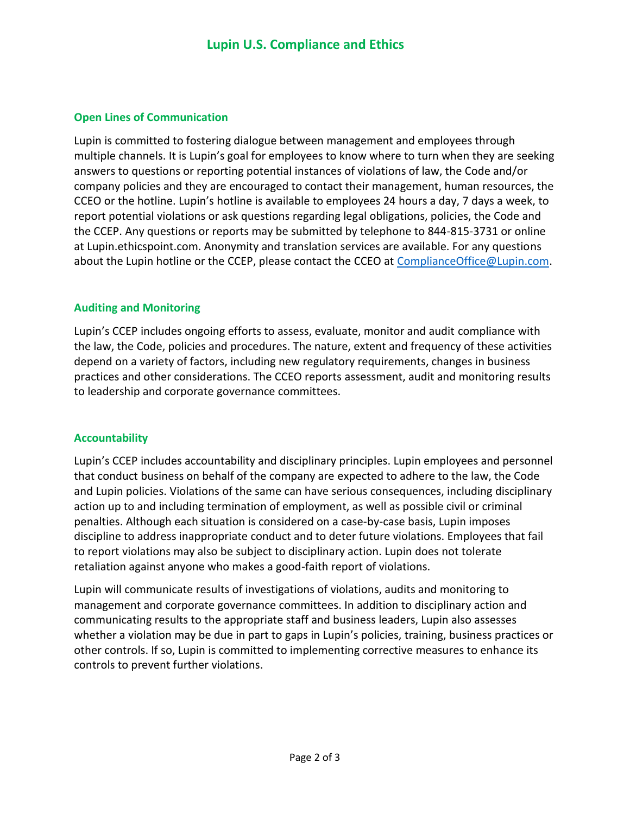## **Open Lines of Communication**

Lupin is committed to fostering dialogue between management and employees through multiple channels. It is Lupin's goal for employees to know where to turn when they are seeking answers to questions or reporting potential instances of violations of law, the Code and/or company policies and they are encouraged to contact their management, human resources, the CCEO or the hotline. Lupin's hotline is available to employees 24 hours a day, 7 days a week, to report potential violations or ask questions regarding legal obligations, policies, the Code and the CCEP. Any questions or reports may be submitted by telephone to 844-815-3731 or online at Lupin.ethicspoint.com. Anonymity and translation services are available. For any questions about the Lupin hotline or the CCEP, please contact the CCEO at [ComplianceOffice@Lupin.com.](mailto:ComplianceOffice@Lupin.com)

# **Auditing and Monitoring**

Lupin's CCEP includes ongoing efforts to assess, evaluate, monitor and audit compliance with the law, the Code, policies and procedures. The nature, extent and frequency of these activities depend on a variety of factors, including new regulatory requirements, changes in business practices and other considerations. The CCEO reports assessment, audit and monitoring results to leadership and corporate governance committees.

# **Accountability**

Lupin's CCEP includes accountability and disciplinary principles. Lupin employees and personnel that conduct business on behalf of the company are expected to adhere to the law, the Code and Lupin policies. Violations of the same can have serious consequences, including disciplinary action up to and including termination of employment, as well as possible civil or criminal penalties. Although each situation is considered on a case-by-case basis, Lupin imposes discipline to address inappropriate conduct and to deter future violations. Employees that fail to report violations may also be subject to disciplinary action. Lupin does not tolerate retaliation against anyone who makes a good-faith report of violations.

Lupin will communicate results of investigations of violations, audits and monitoring to management and corporate governance committees. In addition to disciplinary action and communicating results to the appropriate staff and business leaders, Lupin also assesses whether a violation may be due in part to gaps in Lupin's policies, training, business practices or other controls. If so, Lupin is committed to implementing corrective measures to enhance its controls to prevent further violations.